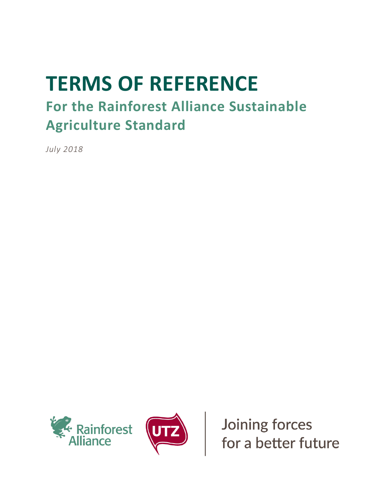# **TERMS OF REFERENCE**

# **For the Rainforest Alliance Sustainable Agriculture Standard**

*July 2018*





Joining forces<br>for a better future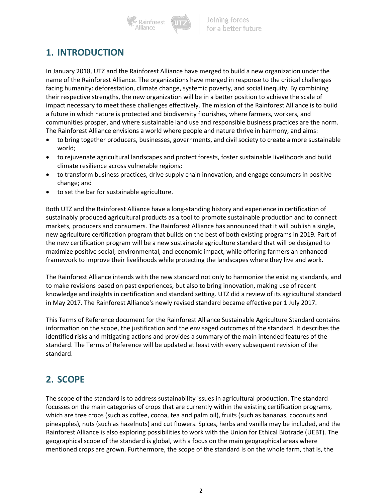Rainforest

## **1. INTRODUCTION**

In January 2018, UTZ and the Rainforest Alliance have merged to build a new organization under the name of the Rainforest Alliance. The organizations have merged in response to the critical challenges facing humanity: deforestation, climate change, systemic poverty, and social inequity. By combining their respective strengths, the new organization will be in a better position to achieve the scale of impact necessary to meet these challenges effectively. The mission of the Rainforest Alliance is to build a future in which nature is protected and biodiversity flourishes, where farmers, workers, and communities prosper, and where sustainable land use and responsible business practices are the norm. The Rainforest Alliance envisions a world where people and nature thrive in harmony, and aims:

- to bring together producers, businesses, governments, and civil society to create a more sustainable world;
- to rejuvenate agricultural landscapes and protect forests, foster sustainable livelihoods and build climate resilience across vulnerable regions;
- to transform business practices, drive supply chain innovation, and engage consumers in positive change; and
- to set the bar for sustainable agriculture.

Both UTZ and the Rainforest Alliance have a long-standing history and experience in certification of sustainably produced agricultural products as a tool to promote sustainable production and to connect markets, producers and consumers. The Rainforest Alliance has announced that it will publish a single, new agriculture certification program that builds on the best of both existing programs in 2019. Part of the new certification program will be a new sustainable agriculture standard that will be designed to maximize positive social, environmental, and economic impact, while offering farmers an enhanced framework to improve their livelihoods while protecting the landscapes where they live and work.

The Rainforest Alliance intends with the new standard not only to harmonize the existing standards, and to make revisions based on past experiences, but also to bring innovation, making use of recent knowledge and insights in certification and standard setting. UTZ did a review of its agricultural standard in May 2017. The Rainforest Alliance's newly revised standard became effective per 1 July 2017.

This Terms of Reference document for the Rainforest Alliance Sustainable Agriculture Standard contains information on the scope, the justification and the envisaged outcomes of the standard. It describes the identified risks and mitigating actions and provides a summary of the main intended features of the standard. The Terms of Reference will be updated at least with every subsequent revision of the standard.

# **2. SCOPE**

The scope of the standard is to address sustainability issues in agricultural production. The standard focusses on the main categories of crops that are currently within the existing certification programs, which are tree crops (such as coffee, cocoa, tea and palm oil), fruits (such as bananas, coconuts and pineapples), nuts (such as hazelnuts) and cut flowers. Spices, herbs and vanilla may be included, and the Rainforest Alliance is also exploring possibilities to work with the Union for Ethical Biotrade (UEBT). The geographical scope of the standard is global, with a focus on the main geographical areas where mentioned crops are grown. Furthermore, the scope of the standard is on the whole farm, that is, the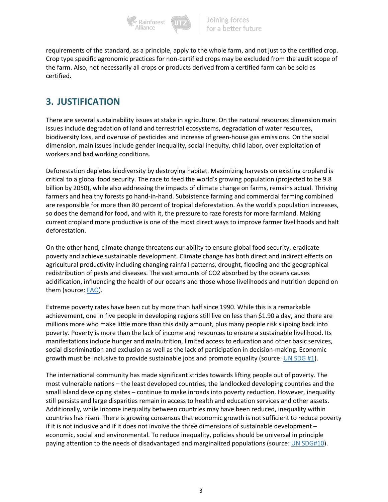

requirements of the standard, as a principle, apply to the whole farm, and not just to the certified crop. Crop type specific agronomic practices for non-certified crops may be excluded from the audit scope of the farm. Also, not necessarily all crops or products derived from a certified farm can be sold as certified.

# **3. JUSTIFICATION**

There are several sustainability issues at stake in agriculture. On the natural resources dimension main issues include degradation of land and terrestrial ecosystems, degradation of water resources, biodiversity loss, and overuse of pesticides and increase of green-house gas emissions. On the social dimension, main issues include gender inequality, social inequity, child labor, over exploitation of workers and bad working conditions*.*

Deforestation depletes biodiversity by destroying habitat. Maximizing harvests on existing cropland is critical to a global food security. The race to feed the world's growing population (projected to be 9.8 billion by 2050), while also addressing the impacts of climate change on farms, remains actual. Thriving farmers and healthy forests go hand-in-hand. Subsistence farming and commercial farming combined are responsible for more than 80 percent of tropical deforestation. As the world's population increases, so does the demand for food, and with it, the pressure to raze forests for more farmland. Making current cropland more productive is one of the most direct ways to improve farmer livelihoods and halt deforestation.

On the other hand, climate change threatens our ability to ensure global food security, eradicate poverty and achieve sustainable development. Climate change has both direct and indirect effects on agricultural productivity including changing rainfall patterns, drought, flooding and the geographical redistribution of pests and diseases. The vast amounts of CO2 absorbed by the oceans causes acidification, influencing the health of our oceans and those whose livelihoods and nutrition depend on them (source: FAO).

Extreme poverty rates have been cut by more than half since 1990. While this is a remarkable achievement, one in five people in developing regions still live on less than \$1.90 a day, and there are millions more who make little more than this daily amount, plus many people risk slipping back into poverty. Poverty is more than the lack of income and resources to ensure a sustainable livelihood. Its manifestations include hunger and malnutrition, limited access to education and other basic services, social discrimination and exclusion as well as the lack of participation in decision-making. Economic growth must be inclusive to provide sustainable jobs and promote equality (source: UN SDG #1).

The international community has made significant strides towards lifting people out of poverty. The most vulnerable nations – the least developed countries, the landlocked developing countries and the small island developing states – continue to make inroads into poverty reduction. However, inequality still persists and large disparities remain in access to health and education services and other assets. Additionally, while income inequality between countries may have been reduced, inequality within countries has risen. There is growing consensus that economic growth is not sufficient to reduce poverty if it is not inclusive and if it does not involve the three dimensions of sustainable development – economic, social and environmental. To reduce inequality, policies should be universal in principle paying attention to the needs of disadvantaged and marginalized populations (source: UN SDG#10).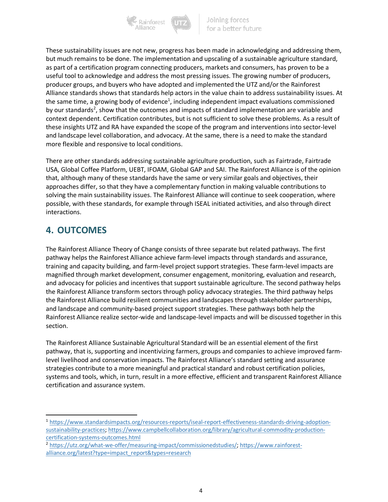

These sustainability issues are not new, progress has been made in acknowledging and addressing them, but much remains to be done. The implementation and upscaling of a sustainable agriculture standard, as part of a certification program connecting producers, markets and consumers, has proven to be a useful tool to acknowledge and address the most pressing issues. The growing number of producers, producer groups, and buyers who have adopted and implemented the UTZ and/or the Rainforest Alliance standards shows that standards help actors in the value chain to address sustainability issues. At the same time, a growing body of evidence<sup>1</sup>, including independent impact evaluations commissioned by our standards<sup>2</sup>, show that the outcomes and impacts of standard implementation are variable and context dependent. Certification contributes, but is not sufficient to solve these problems. As a result of these insights UTZ and RA have expanded the scope of the program and interventions into sector-level and landscape level collaboration, and advocacy. At the same, there is a need to make the standard more flexible and responsive to local conditions.

There are other standards addressing sustainable agriculture production, such as Fairtrade, Fairtrade USA, Global Coffee Platform, UEBT, IFOAM, Global GAP and SAI. The Rainforest Alliance is of the opinion that, although many of these standards have the same or very similar goals and objectives, their approaches differ, so that they have a complementary function in making valuable contributions to solving the main sustainability issues. The Rainforest Alliance will continue to seek cooperation, where possible, with these standards, for example through ISEAL initiated activities, and also through direct interactions.

# **4. OUTCOMES**

The Rainforest Alliance Theory of Change consists of three separate but related pathways. The first pathway helps the Rainforest Alliance achieve farm-level impacts through standards and assurance, training and capacity building, and farm-level project support strategies. These farm-level impacts are magnified through market development, consumer engagement, monitoring, evaluation and research, and advocacy for policies and incentives that support sustainable agriculture. The second pathway helps the Rainforest Alliance transform sectors through policy advocacy strategies. The third pathway helps the Rainforest Alliance build resilient communities and landscapes through stakeholder partnerships, and landscape and community-based project support strategies. These pathways both help the Rainforest Alliance realize sector-wide and landscape-level impacts and will be discussed together in this section.

The Rainforest Alliance Sustainable Agricultural Standard will be an essential element of the first pathway, that is, supporting and incentivizing farmers, groups and companies to achieve improved farmlevel livelihood and conservation impacts. The Rainforest Alliance's standard setting and assurance strategies contribute to a more meaningful and practical standard and robust certification policies, systems and tools, which, in turn, result in a more effective, efficient and transparent Rainforest Alliance certification and assurance system.

 <sup>1</sup> https://www.standardsimpacts.org/resources-reports/iseal-report-effectiveness-standards-driving-adoptionsustainability-practices; https://www.campbellcollaboration.org/library/agricultural-commodity-productioncertification-systems-outcomes.html

<sup>2</sup> https://utz.org/what-we-offer/measuring-impact/commissionedstudies/; https://www.rainforestalliance.org/latest?type=impact\_report&types=research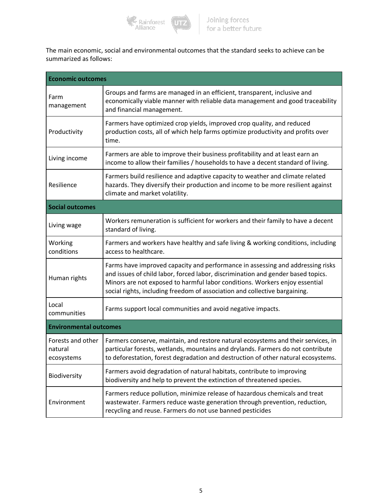

The main economic, social and environmental outcomes that the standard seeks to achieve can be summarized as follows:

| <b>Economic outcomes</b>                   |                                                                                                                                                                                                                                                                                                                                 |  |  |
|--------------------------------------------|---------------------------------------------------------------------------------------------------------------------------------------------------------------------------------------------------------------------------------------------------------------------------------------------------------------------------------|--|--|
| Farm<br>management                         | Groups and farms are managed in an efficient, transparent, inclusive and<br>economically viable manner with reliable data management and good traceability<br>and financial management.                                                                                                                                         |  |  |
| Productivity                               | Farmers have optimized crop yields, improved crop quality, and reduced<br>production costs, all of which help farms optimize productivity and profits over<br>time.                                                                                                                                                             |  |  |
| Living income                              | Farmers are able to improve their business profitability and at least earn an<br>income to allow their families / households to have a decent standard of living.                                                                                                                                                               |  |  |
| Resilience                                 | Farmers build resilience and adaptive capacity to weather and climate related<br>hazards. They diversify their production and income to be more resilient against<br>climate and market volatility.                                                                                                                             |  |  |
| <b>Social outcomes</b>                     |                                                                                                                                                                                                                                                                                                                                 |  |  |
| Living wage                                | Workers remuneration is sufficient for workers and their family to have a decent<br>standard of living.                                                                                                                                                                                                                         |  |  |
| Working<br>conditions                      | Farmers and workers have healthy and safe living & working conditions, including<br>access to healthcare.                                                                                                                                                                                                                       |  |  |
| Human rights                               | Farms have improved capacity and performance in assessing and addressing risks<br>and issues of child labor, forced labor, discrimination and gender based topics.<br>Minors are not exposed to harmful labor conditions. Workers enjoy essential<br>social rights, including freedom of association and collective bargaining. |  |  |
| Local<br>communities                       | Farms support local communities and avoid negative impacts.                                                                                                                                                                                                                                                                     |  |  |
| <b>Environmental outcomes</b>              |                                                                                                                                                                                                                                                                                                                                 |  |  |
| Forests and other<br>natural<br>ecosystems | Farmers conserve, maintain, and restore natural ecosystems and their services, in<br>particular forests, wetlands, mountains and drylands. Farmers do not contribute<br>to deforestation, forest degradation and destruction of other natural ecosystems.                                                                       |  |  |
| Biodiversity                               | Farmers avoid degradation of natural habitats, contribute to improving<br>biodiversity and help to prevent the extinction of threatened species.                                                                                                                                                                                |  |  |
| Environment                                | Farmers reduce pollution, minimize release of hazardous chemicals and treat<br>wastewater. Farmers reduce waste generation through prevention, reduction,<br>recycling and reuse. Farmers do not use banned pesticides                                                                                                          |  |  |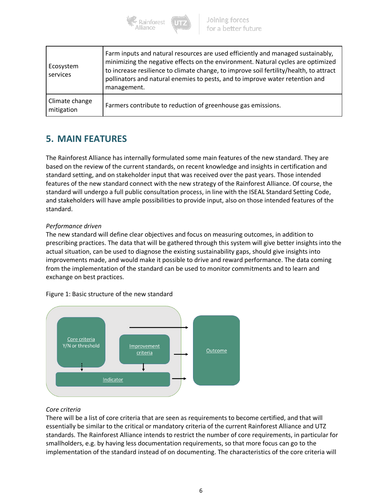

| Ecosystem<br>services        | Farm inputs and natural resources are used efficiently and managed sustainably,<br>minimizing the negative effects on the environment. Natural cycles are optimized<br>to increase resilience to climate change, to improve soil fertility/health, to attract<br>pollinators and natural enemies to pests, and to improve water retention and<br>management. |
|------------------------------|--------------------------------------------------------------------------------------------------------------------------------------------------------------------------------------------------------------------------------------------------------------------------------------------------------------------------------------------------------------|
| Climate change<br>mitigation | Farmers contribute to reduction of greenhouse gas emissions.                                                                                                                                                                                                                                                                                                 |

# **5. MAIN FEATURES**

The Rainforest Alliance has internally formulated some main features of the new standard. They are based on the review of the current standards, on recent knowledge and insights in certification and standard setting, and on stakeholder input that was received over the past years. Those intended features of the new standard connect with the new strategy of the Rainforest Alliance. Of course, the standard will undergo a full public consultation process, in line with the ISEAL Standard Setting Code, and stakeholders will have ample possibilities to provide input, also on those intended features of the standard.

#### *Performance driven*

The new standard will define clear objectives and focus on measuring outcomes, in addition to prescribing practices. The data that will be gathered through this system will give better insights into the actual situation, can be used to diagnose the existing sustainability gaps, should give insights into improvements made, and would make it possible to drive and reward performance. The data coming from the implementation of the standard can be used to monitor commitments and to learn and exchange on best practices.





#### *Core criteria*

There will be a list of core criteria that are seen as requirements to become certified, and that will essentially be similar to the critical or mandatory criteria of the current Rainforest Alliance and UTZ standards. The Rainforest Alliance intends to restrict the number of core requirements, in particular for smallholders, e.g. by having less documentation requirements, so that more focus can go to the implementation of the standard instead of on documenting. The characteristics of the core criteria will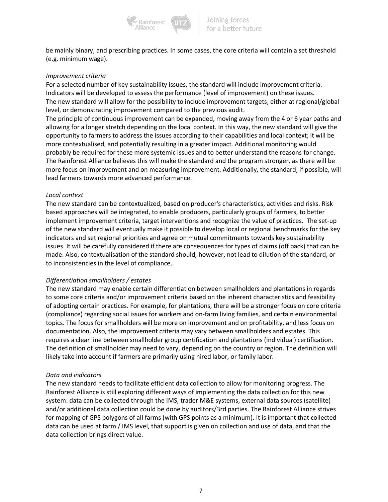

be mainly binary, and prescribing practices. In some cases, the core criteria will contain a set threshold (e.g. minimum wage).

#### *Improvement criteria*

For a selected number of key sustainability issues, the standard will include improvement criteria. Indicators will be developed to assess the performance (level of improvement) on these issues. The new standard will allow for the possibility to include improvement targets; either at regional/global level, or demonstrating improvement compared to the previous audit.

The principle of continuous improvement can be expanded, moving away from the 4 or 6 year paths and allowing for a longer stretch depending on the local context. In this way, the new standard will give the opportunity to farmers to address the issues according to their capabilities and local context; it will be more contextualised, and potentially resulting in a greater impact. Additional monitoring would probably be required for these more systemic issues and to better understand the reasons for change. The Rainforest Alliance believes this will make the standard and the program stronger, as there will be more focus on improvement and on measuring improvement. Additionally, the standard, if possible, will lead farmers towards more advanced performance.

#### *Local context*

The new standard can be contextualized, based on producer's characteristics, activities and risks. Risk based approaches will be integrated, to enable producers, particularly groups of farmers, to better implement improvement criteria, target interventions and recognize the value of practices. The set-up of the new standard will eventually make it possible to develop local or regional benchmarks for the key indicators and set regional priorities and agree on mutual commitments towards key sustainability issues. It will be carefully considered if there are consequences for types of claims (off pack) that can be made. Also, contextualisation of the standard should, however, not lead to dilution of the standard, or to inconsistencies in the level of compliance.

#### *Differentiation smallholders / estates*

The new standard may enable certain differentiation between smallholders and plantations in regards to some core criteria and/or improvement criteria based on the inherent characteristics and feasibility of adopting certain practices. For example, for plantations, there will be a stronger focus on core criteria (compliance) regarding social issues for workers and on-farm living families, and certain environmental topics. The focus for smallholders will be more on improvement and on profitability, and less focus on documentation. Also, the improvement criteria may vary between smallholders and estates. This requires a clear line between smallholder group certification and plantations (individual) certification. The definition of smallholder may need to vary, depending on the country or region. The definition will likely take into account if farmers are primarily using hired labor, or family labor.

#### *Data and indicators*

The new standard needs to facilitate efficient data collection to allow for monitoring progress. The Rainforest Alliance is still exploring different ways of implementing the data collection for this new system: data can be collected through the IMS, trader M&E systems, external data sources (satellite) and/or additional data collection could be done by auditors/3rd parties. The Rainforest Alliance strives for mapping of GPS polygons of all farms (with GPS points as a minimum). It is important that collected data can be used at farm / IMS level, that support is given on collection and use of data, and that the data collection brings direct value.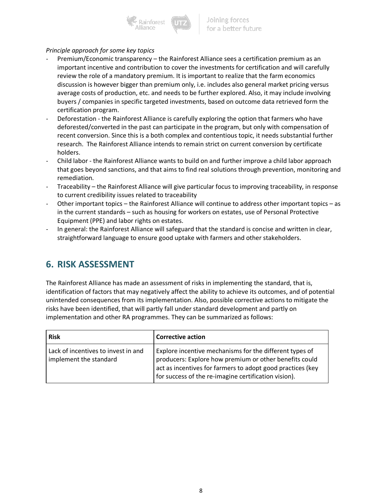

#### *Principle approach for some key topics*

- Premium/Economic transparency the Rainforest Alliance sees a certification premium as an important incentive and contribution to cover the investments for certification and will carefully review the role of a mandatory premium. It is important to realize that the farm economics discussion is however bigger than premium only, i.e. includes also general market pricing versus average costs of production, etc. and needs to be further explored. Also, it may include involving buyers / companies in specific targeted investments, based on outcome data retrieved form the certification program.
- Deforestation the Rainforest Alliance is carefully exploring the option that farmers who have deforested/converted in the past can participate in the program, but only with compensation of recent conversion. Since this is a both complex and contentious topic, it needs substantial further research. The Rainforest Alliance intends to remain strict on current conversion by certificate holders.
- Child labor the Rainforest Alliance wants to build on and further improve a child labor approach that goes beyond sanctions, and that aims to find real solutions through prevention, monitoring and remediation.
- Traceability the Rainforest Alliance will give particular focus to improving traceability, in response to current credibility issues related to traceability
- Other important topics the Rainforest Alliance will continue to address other important topics as in the current standards – such as housing for workers on estates, use of Personal Protective Equipment (PPE) and labor rights on estates.
- In general: the Rainforest Alliance will safeguard that the standard is concise and written in clear, straightforward language to ensure good uptake with farmers and other stakeholders.

### **6. RISK ASSESSMENT**

The Rainforest Alliance has made an assessment of risks in implementing the standard, that is, identification of factors that may negatively affect the ability to achieve its outcomes, and of potential unintended consequences from its implementation. Also, possible corrective actions to mitigate the risks have been identified, that will partly fall under standard development and partly on implementation and other RA programmes. They can be summarized as follows:

| <b>Risk</b>                                                   | <b>Corrective action</b>                                                                                                                                                                                                                |
|---------------------------------------------------------------|-----------------------------------------------------------------------------------------------------------------------------------------------------------------------------------------------------------------------------------------|
| Lack of incentives to invest in and<br>implement the standard | Explore incentive mechanisms for the different types of<br>producers: Explore how premium or other benefits could<br>act as incentives for farmers to adopt good practices (key<br>for success of the re-imagine certification vision). |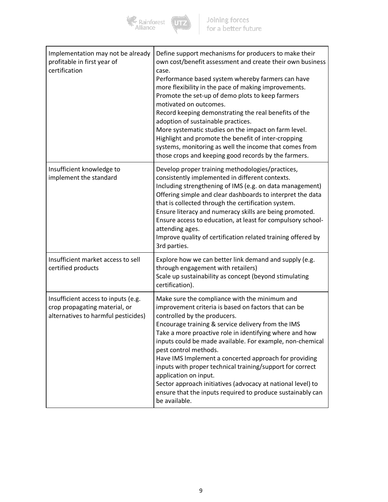

| Implementation may not be already<br>profitable in first year of<br>certification                           | Define support mechanisms for producers to make their<br>own cost/benefit assessment and create their own business<br>case.<br>Performance based system whereby farmers can have<br>more flexibility in the pace of making improvements.<br>Promote the set-up of demo plots to keep farmers<br>motivated on outcomes.<br>Record keeping demonstrating the real benefits of the<br>adoption of sustainable practices.<br>More systematic studies on the impact on farm level.<br>Highlight and promote the benefit of inter-cropping<br>systems, monitoring as well the income that comes from<br>those crops and keeping good records by the farmers. |
|-------------------------------------------------------------------------------------------------------------|--------------------------------------------------------------------------------------------------------------------------------------------------------------------------------------------------------------------------------------------------------------------------------------------------------------------------------------------------------------------------------------------------------------------------------------------------------------------------------------------------------------------------------------------------------------------------------------------------------------------------------------------------------|
| Insufficient knowledge to<br>implement the standard                                                         | Develop proper training methodologies/practices,<br>consistently implemented in different contexts.<br>Including strengthening of IMS (e.g. on data management)<br>Offering simple and clear dashboards to interpret the data<br>that is collected through the certification system.<br>Ensure literacy and numeracy skills are being promoted.<br>Ensure access to education, at least for compulsory school-<br>attending ages.<br>Improve quality of certification related training offered by<br>3rd parties.                                                                                                                                      |
| Insufficient market access to sell<br>certified products                                                    | Explore how we can better link demand and supply (e.g.<br>through engagement with retailers)<br>Scale up sustainability as concept (beyond stimulating<br>certification).                                                                                                                                                                                                                                                                                                                                                                                                                                                                              |
| Insufficient access to inputs (e.g.<br>crop propagating material, or<br>alternatives to harmful pesticides) | Make sure the compliance with the minimum and<br>improvement criteria is based on factors that can be<br>controlled by the producers.<br>Encourage training & service delivery from the IMS<br>Take a more proactive role in identifying where and how<br>inputs could be made available. For example, non-chemical<br>pest control methods.<br>Have IMS Implement a concerted approach for providing<br>inputs with proper technical training/support for correct<br>application on input.<br>Sector approach initiatives (advocacy at national level) to<br>ensure that the inputs required to produce sustainably can<br>be available.              |